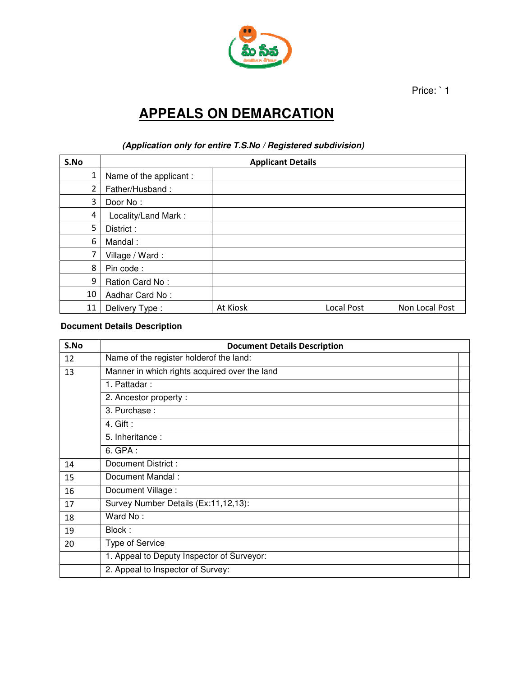

Price: `1

## **APPEALS ON DEMARCATION**

## **(Application only for entire T.S.No / Registered subdivision)**

| S.No           | <b>Applicant Details</b> |          |            |                |  |
|----------------|--------------------------|----------|------------|----------------|--|
| 1              | Name of the applicant :  |          |            |                |  |
| $\overline{2}$ | Father/Husband:          |          |            |                |  |
| 3              | Door No:                 |          |            |                |  |
| 4              | Locality/Land Mark:      |          |            |                |  |
| 5              | District:                |          |            |                |  |
| 6              | Mandal:                  |          |            |                |  |
| 7              | Village / Ward:          |          |            |                |  |
| 8              | Pin code:                |          |            |                |  |
| 9              | Ration Card No:          |          |            |                |  |
| 10             | Aadhar Card No:          |          |            |                |  |
| 11             | Delivery Type:           | At Kiosk | Local Post | Non Local Post |  |

## **Document Details Description**

| S.No | <b>Document Details Description</b>           |  |  |
|------|-----------------------------------------------|--|--|
| 12   | Name of the register holderof the land:       |  |  |
| 13   | Manner in which rights acquired over the land |  |  |
|      | 1. Pattadar:                                  |  |  |
|      | 2. Ancestor property:                         |  |  |
|      | 3. Purchase:                                  |  |  |
|      | 4. Gift:                                      |  |  |
|      | 5. Inheritance:                               |  |  |
|      | 6. GPA:                                       |  |  |
| 14   | Document District:                            |  |  |
| 15   | Document Mandal:                              |  |  |
| 16   | Document Village:                             |  |  |
| 17   | Survey Number Details (Ex:11,12,13):          |  |  |
| 18   | Ward No:                                      |  |  |
| 19   | Block:                                        |  |  |
| 20   | Type of Service                               |  |  |
|      | 1. Appeal to Deputy Inspector of Surveyor:    |  |  |
|      | 2. Appeal to Inspector of Survey:             |  |  |